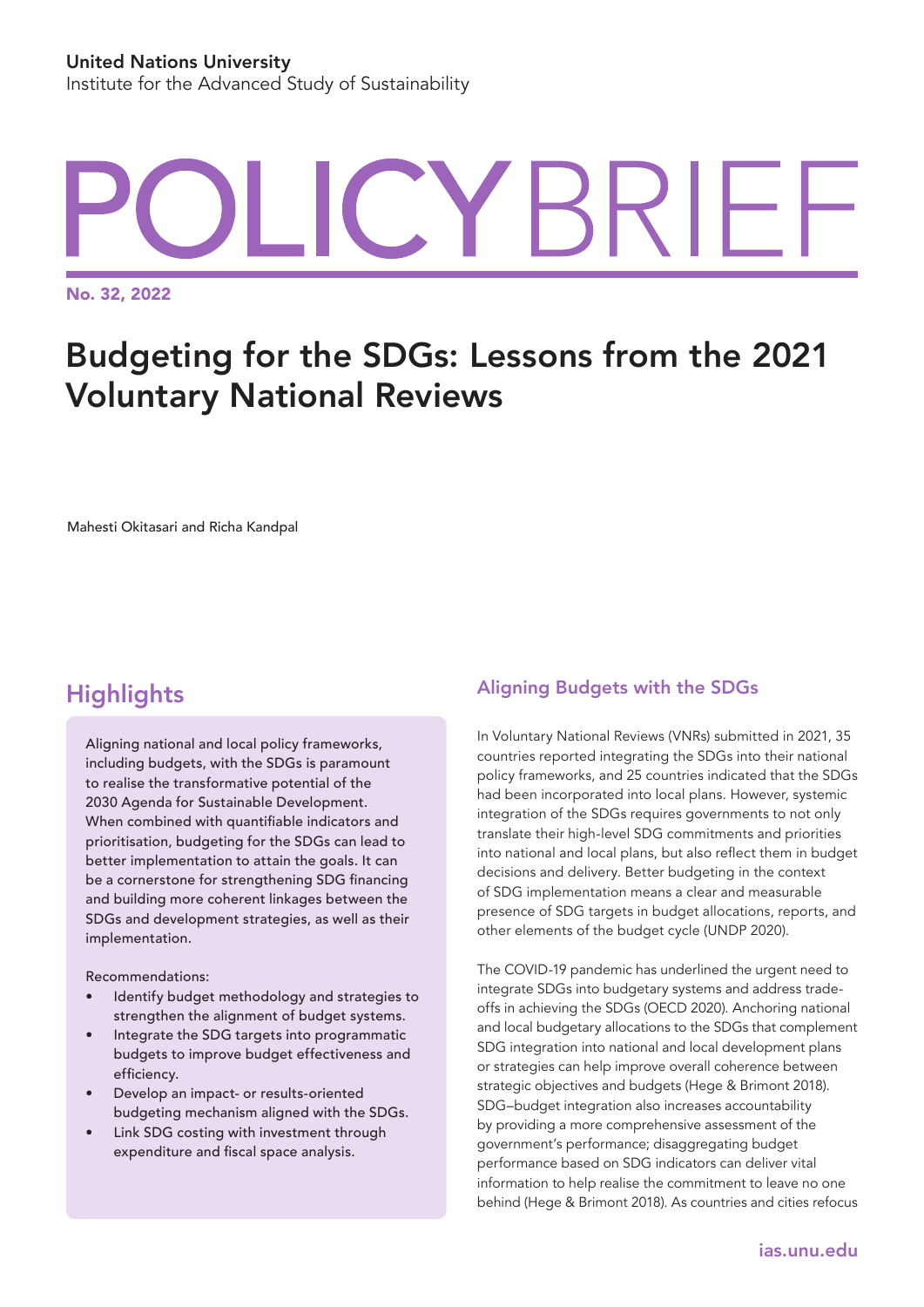# YBRIFI.

No. 32, 2022

## Budgeting for the SDGs: Lessons from the 2021 Voluntary National Reviews

Mahesti Okitasari and Richa Kandpal

### **Highlights**

Aligning national and local policy frameworks, including budgets, with the SDGs is paramount to realise the transformative potential of the 2030 Agenda for Sustainable Development. When combined with quantifiable indicators and prioritisation, budgeting for the SDGs can lead to better implementation to attain the goals. It can be a cornerstone for strengthening SDG financing and building more coherent linkages between the SDGs and development strategies, as well as their implementation.

Recommendations:

- Identify budget methodology and strategies to strengthen the alignment of budget systems.
- Integrate the SDG targets into programmatic budgets to improve budget effectiveness and efficiency.
- Develop an impact- or results-oriented budgeting mechanism aligned with the SDGs.
- Link SDG costing with investment through expenditure and fiscal space analysis.

#### Aligning Budgets with the SDGs

In Voluntary National Reviews (VNRs) submitted in 2021, 35 countries reported integrating the SDGs into their national policy frameworks, and 25 countries indicated that the SDGs had been incorporated into local plans. However, systemic integration of the SDGs requires governments to not only translate their high-level SDG commitments and priorities into national and local plans, but also reflect them in budget decisions and delivery. Better budgeting in the context of SDG implementation means a clear and measurable presence of SDG targets in budget allocations, reports, and other elements of the budget cycle (UNDP 2020).

The COVID-19 pandemic has underlined the urgent need to integrate SDGs into budgetary systems and address tradeoffs in achieving the SDGs (OECD 2020). Anchoring national and local budgetary allocations to the SDGs that complement SDG integration into national and local development plans or strategies can help improve overall coherence between strategic objectives and budgets (Hege & Brimont 2018). SDG–budget integration also increases accountability by providing a more comprehensive assessment of the government's performance; disaggregating budget performance based on SDG indicators can deliver vital information to help realise the commitment to leave no one behind (Hege & Brimont 2018). As countries and cities refocus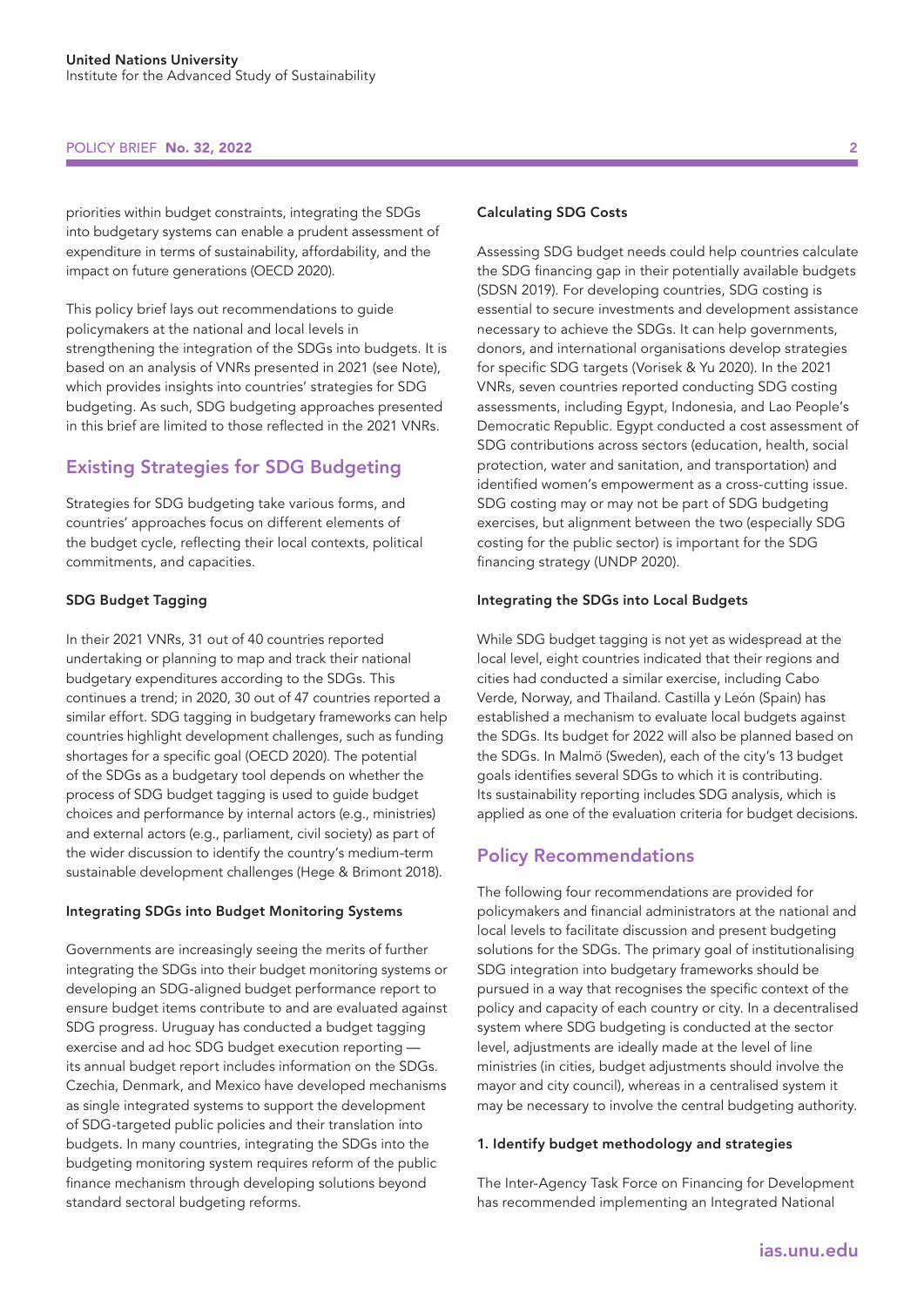#### POLICY BRIEF No. 32, 2022

priorities within budget constraints, integrating the SDGs into budgetary systems can enable a prudent assessment of expenditure in terms of sustainability, affordability, and the impact on future generations (OECD 2020).

This policy brief lays out recommendations to guide policymakers at the national and local levels in strengthening the integration of the SDGs into budgets. It is based on an analysis of VNRs presented in 2021 (see Note), which provides insights into countries' strategies for SDG budgeting. As such, SDG budgeting approaches presented in this brief are limited to those reflected in the 2021 VNRs.

#### Existing Strategies for SDG Budgeting

Strategies for SDG budgeting take various forms, and countries' approaches focus on different elements of the budget cycle, reflecting their local contexts, political commitments, and capacities.

#### SDG Budget Tagging

In their 2021 VNRs, 31 out of 40 countries reported undertaking or planning to map and track their national budgetary expenditures according to the SDGs. This continues a trend; in 2020, 30 out of 47 countries reported a similar effort. SDG tagging in budgetary frameworks can help countries highlight development challenges, such as funding shortages for a specific goal (OECD 2020). The potential of the SDGs as a budgetary tool depends on whether the process of SDG budget tagging is used to guide budget choices and performance by internal actors (e.g., ministries) and external actors (e.g., parliament, civil society) as part of the wider discussion to identify the country's medium-term sustainable development challenges (Hege & Brimont 2018).

#### Integrating SDGs into Budget Monitoring Systems

Governments are increasingly seeing the merits of further integrating the SDGs into their budget monitoring systems or developing an SDG-aligned budget performance report to ensure budget items contribute to and are evaluated against SDG progress. Uruguay has conducted a budget tagging exercise and ad hoc SDG budget execution reporting its annual budget report includes information on the SDGs. Czechia, Denmark, and Mexico have developed mechanisms as single integrated systems to support the development of SDG-targeted public policies and their translation into budgets. In many countries, integrating the SDGs into the budgeting monitoring system requires reform of the public finance mechanism through developing solutions beyond standard sectoral budgeting reforms.

#### 2

#### Calculating SDG Costs

Assessing SDG budget needs could help countries calculate the SDG financing gap in their potentially available budgets (SDSN 2019). For developing countries, SDG costing is essential to secure investments and development assistance necessary to achieve the SDGs. It can help governments, donors, and international organisations develop strategies for specific SDG targets (Vorisek & Yu 2020). In the 2021 VNRs, seven countries reported conducting SDG costing assessments, including Egypt, Indonesia, and Lao People's Democratic Republic. Egypt conducted a cost assessment of SDG contributions across sectors (education, health, social protection, water and sanitation, and transportation) and identified women's empowerment as a cross-cutting issue. SDG costing may or may not be part of SDG budgeting exercises, but alignment between the two (especially SDG costing for the public sector) is important for the SDG financing strategy (UNDP 2020).

#### Integrating the SDGs into Local Budgets

While SDG budget tagging is not yet as widespread at the local level, eight countries indicated that their regions and cities had conducted a similar exercise, including Cabo Verde, Norway, and Thailand. Castilla y León (Spain) has established a mechanism to evaluate local budgets against the SDGs. Its budget for 2022 will also be planned based on the SDGs. In Malmö (Sweden), each of the city's 13 budget goals identifies several SDGs to which it is contributing. Its sustainability reporting includes SDG analysis, which is applied as one of the evaluation criteria for budget decisions.

#### Policy Recommendations

The following four recommendations are provided for policymakers and financial administrators at the national and local levels to facilitate discussion and present budgeting solutions for the SDGs. The primary goal of institutionalising SDG integration into budgetary frameworks should be pursued in a way that recognises the specific context of the policy and capacity of each country or city. In a decentralised system where SDG budgeting is conducted at the sector level, adjustments are ideally made at the level of line ministries (in cities, budget adjustments should involve the mayor and city council), whereas in a centralised system it may be necessary to involve the central budgeting authority.

#### 1. Identify budget methodology and strategies

The Inter-Agency Task Force on Financing for Development has recommended implementing an Integrated National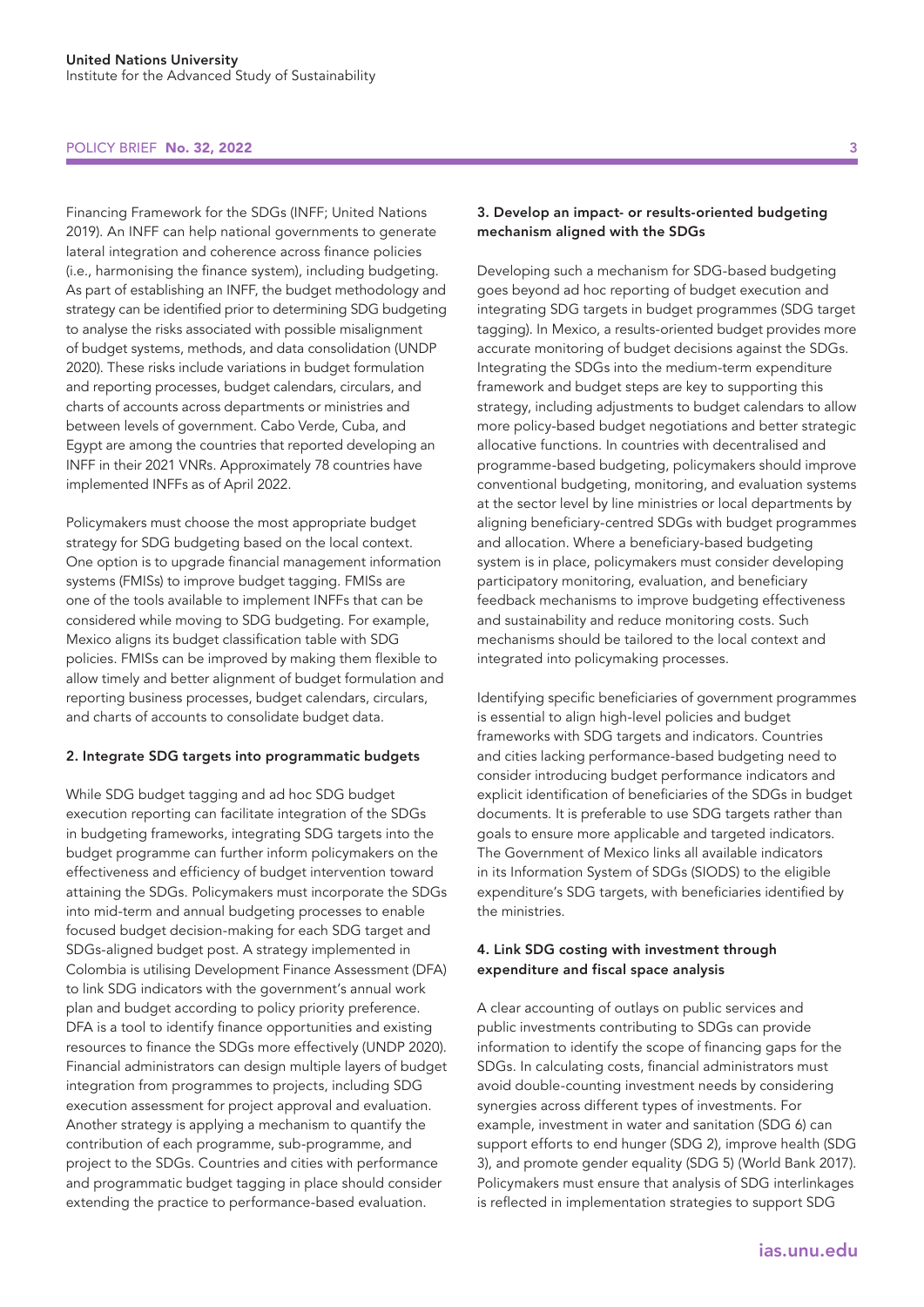#### POLICY BRIEF No. 32, 2022 3

Financing Framework for the SDGs (INFF; United Nations 2019). An INFF can help national governments to generate lateral integration and coherence across finance policies (i.e., harmonising the finance system), including budgeting. As part of establishing an INFF, the budget methodology and strategy can be identified prior to determining SDG budgeting to analyse the risks associated with possible misalignment of budget systems, methods, and data consolidation (UNDP 2020). These risks include variations in budget formulation and reporting processes, budget calendars, circulars, and charts of accounts across departments or ministries and between levels of government. Cabo Verde, Cuba, and Egypt are among the countries that reported developing an INFF in their 2021 VNRs. Approximately 78 countries have implemented INFFs as of April 2022.

Policymakers must choose the most appropriate budget strategy for SDG budgeting based on the local context. One option is to upgrade financial management information systems (FMISs) to improve budget tagging. FMISs are one of the tools available to implement INFFs that can be considered while moving to SDG budgeting. For example, Mexico aligns its budget classification table with SDG policies. FMISs can be improved by making them flexible to allow timely and better alignment of budget formulation and reporting business processes, budget calendars, circulars, and charts of accounts to consolidate budget data.

#### 2. Integrate SDG targets into programmatic budgets

While SDG budget tagging and ad hoc SDG budget execution reporting can facilitate integration of the SDGs in budgeting frameworks, integrating SDG targets into the budget programme can further inform policymakers on the effectiveness and efficiency of budget intervention toward attaining the SDGs. Policymakers must incorporate the SDGs into mid-term and annual budgeting processes to enable focused budget decision-making for each SDG target and SDGs-aligned budget post. A strategy implemented in Colombia is utilising Development Finance Assessment (DFA) to link SDG indicators with the government's annual work plan and budget according to policy priority preference. DFA is a tool to identify finance opportunities and existing resources to finance the SDGs more effectively (UNDP 2020). Financial administrators can design multiple layers of budget integration from programmes to projects, including SDG execution assessment for project approval and evaluation. Another strategy is applying a mechanism to quantify the contribution of each programme, sub-programme, and project to the SDGs. Countries and cities with performance and programmatic budget tagging in place should consider extending the practice to performance-based evaluation.

#### 3. Develop an impact- or results-oriented budgeting mechanism aligned with the SDGs

Developing such a mechanism for SDG-based budgeting goes beyond ad hoc reporting of budget execution and integrating SDG targets in budget programmes (SDG target tagging). In Mexico, a results-oriented budget provides more accurate monitoring of budget decisions against the SDGs. Integrating the SDGs into the medium-term expenditure framework and budget steps are key to supporting this strategy, including adjustments to budget calendars to allow more policy-based budget negotiations and better strategic allocative functions. In countries with decentralised and programme-based budgeting, policymakers should improve conventional budgeting, monitoring, and evaluation systems at the sector level by line ministries or local departments by aligning beneficiary-centred SDGs with budget programmes and allocation. Where a beneficiary-based budgeting system is in place, policymakers must consider developing participatory monitoring, evaluation, and beneficiary feedback mechanisms to improve budgeting effectiveness and sustainability and reduce monitoring costs. Such mechanisms should be tailored to the local context and integrated into policymaking processes.

Identifying specific beneficiaries of government programmes is essential to align high-level policies and budget frameworks with SDG targets and indicators. Countries and cities lacking performance-based budgeting need to consider introducing budget performance indicators and explicit identification of beneficiaries of the SDGs in budget documents. It is preferable to use SDG targets rather than goals to ensure more applicable and targeted indicators. The Government of Mexico links all available indicators in its Information System of SDGs (SIODS) to the eligible expenditure's SDG targets, with beneficiaries identified by the ministries.

#### 4. Link SDG costing with investment through expenditure and fiscal space analysis

A clear accounting of outlays on public services and public investments contributing to SDGs can provide information to identify the scope of financing gaps for the SDGs. In calculating costs, financial administrators must avoid double-counting investment needs by considering synergies across different types of investments. For example, investment in water and sanitation (SDG 6) can support efforts to end hunger (SDG 2), improve health (SDG 3), and promote gender equality (SDG 5) (World Bank 2017). Policymakers must ensure that analysis of SDG interlinkages is reflected in implementation strategies to support SDG